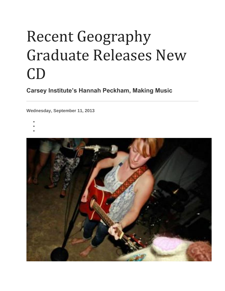## Recent Geography Graduate Releases New CD

**Carsey Institute's Hannah Peckham, Making Music**

**Wednesday, September 11, 2013**

- •
- •
- •

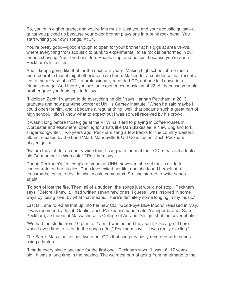So, you're in eighth grade, and you're into music. Just you and your acoustic guitar—a guitar you picked up because your older brother plays one in a punk rock band. You start writing your own songs. At 14.

You're pretty good—good enough to open for your brother at his gigs at area VFWs, where everything from acoustic to punk to experimental noise rock is performed. Your friends show up. Your brother's, too. People clap, and not just because you're Zach Peckham's little sister.

And it keeps going like that for the next four years. Making high school oh-so-muchmore bearable than it might otherwise have been. Making for a confidence that recently led to the release of a CD—a professionally recorded CD, not one laid down in a friend's garage. And there you are, an experienced musician at 22. All because your big brother gave you footsteps to follow.

"I idolized Zach. I wanted to do everything he did," says Hannah Peckham, a 2013 graduate and now part-time worker at UNH's Carsey Institute. "When he said maybe I could open for him, and it became a regular thing, well, that became such a great part of high school. I didn't know what to expect but I was so well received by his crowd."

It wasn't long before those gigs at the VFW halls led to playing in coffeehouses in Worcester and elsewhere, opening for artists like Dan Blakeslee, a New England fork singer/songwriter. Two years ago, Peckham sang a few tracks for the country western album released by the band "Mark Mandeville & Old Constitution. Zach Peckham played guitar.

"Before they left for a country-wide tour, I sang with them at their CD release at a funky old German bar in Worcester," Peckham says.

During Peckham's first couple of years at UNH, however, she set music aside to concentrate on her studies. Then love exited her life, and she found herself at a crossroads, trying to decide what would come next. So, she started to write songs again.

"I'd sort of lost the fire. Then, all of a sudden, the songs just would not stop," Peckham says. "Before I knew it, I had written seven new ones. I guess I was inspired in some ways by losing love, by what that means. There's definitely some longing in my music."

Last fall, she rolled all that up into her new CD, "Good-bye Blue Moon," released in May. It was recorded by Jacob Gaulin, Zach Peckham's band mate. Younger brother Sam Peckham, a student at Massachusetts College of Art and Design, shot the cover photo.

"We had the studio from 10 p.m. to 2 a.m. I went in and they said, 'Okay, go.' There wasn't even time to listen to the songs after," Peckham says. "It was really exciting."

The Barre, Mass. native has two other CDs that she previously recorded with friends using a laptop.

"I made every single package for the first one," Peckham says. "I was 16, 17 years old. It was a long time in the making. The weirdest part of going from handmade to the